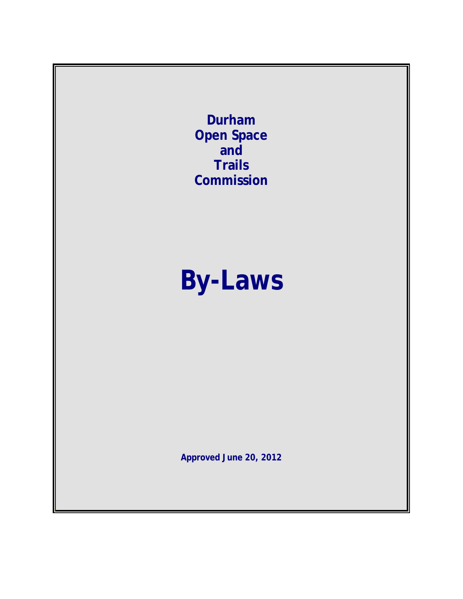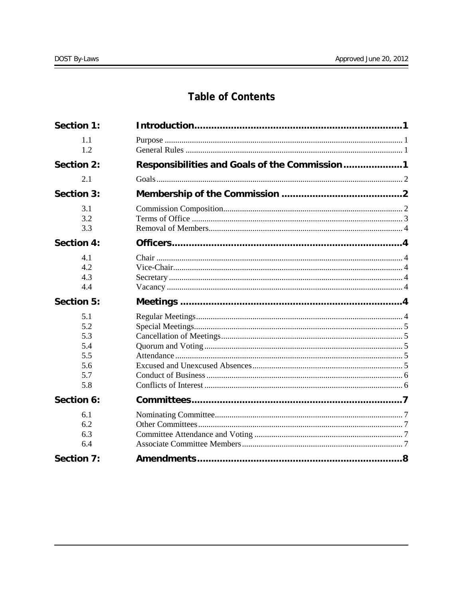# **Table of Contents**

| <b>Section 1:</b>                                    |                                               |  |
|------------------------------------------------------|-----------------------------------------------|--|
| 1.1<br>1.2                                           |                                               |  |
| <b>Section 2:</b>                                    | Responsibilities and Goals of the Commission1 |  |
| 2.1                                                  |                                               |  |
| <b>Section 3:</b>                                    |                                               |  |
| 3.1<br>3.2<br>3.3                                    |                                               |  |
| <b>Section 4:</b>                                    |                                               |  |
| 4.1<br>4.2<br>4.3<br>4.4                             |                                               |  |
|                                                      |                                               |  |
| Section 5:                                           |                                               |  |
| 5.1<br>5.2<br>5.3<br>5.4<br>5.5<br>5.6<br>5.7<br>5.8 |                                               |  |
| Section 6:                                           |                                               |  |
| 6.1<br>6.2<br>6.3<br>6.4<br><b>Section 7:</b>        |                                               |  |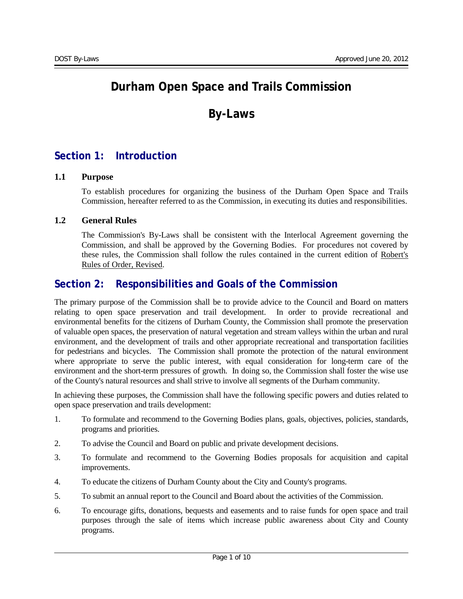# **Durham Open Space and Trails Commission**

# **By-Laws**

# <span id="page-2-0"></span>**Section 1: Introduction**

### <span id="page-2-1"></span>**1.1 Purpose**

To establish procedures for organizing the business of the Durham Open Space and Trails Commission, hereafter referred to as the Commission, in executing its duties and responsibilities.

#### <span id="page-2-2"></span>**1.2 General Rules**

The Commission's By-Laws shall be consistent with the Interlocal Agreement governing the Commission, and shall be approved by the Governing Bodies. For procedures not covered by these rules, the Commission shall follow the rules contained in the current edition of Robert's Rules of Order, Revised.

# <span id="page-2-3"></span>**Section 2: Responsibilities and Goals of the Commission**

The primary purpose of the Commission shall be to provide advice to the Council and Board on matters relating to open space preservation and trail development. In order to provide recreational and environmental benefits for the citizens of Durham County, the Commission shall promote the preservation of valuable open spaces, the preservation of natural vegetation and stream valleys within the urban and rural environment, and the development of trails and other appropriate recreational and transportation facilities for pedestrians and bicycles. The Commission shall promote the protection of the natural environment where appropriate to serve the public interest, with equal consideration for long-term care of the environment and the short-term pressures of growth. In doing so, the Commission shall foster the wise use of the County's natural resources and shall strive to involve all segments of the Durham community.

In achieving these purposes, the Commission shall have the following specific powers and duties related to open space preservation and trails development:

- 1. To formulate and recommend to the Governing Bodies plans, goals, objectives, policies, standards, programs and priorities.
- 2. To advise the Council and Board on public and private development decisions.
- 3. To formulate and recommend to the Governing Bodies proposals for acquisition and capital improvements.
- 4. To educate the citizens of Durham County about the City and County's programs.
- 5. To submit an annual report to the Council and Board about the activities of the Commission.
- 6. To encourage gifts, donations, bequests and easements and to raise funds for open space and trail purposes through the sale of items which increase public awareness about City and County programs.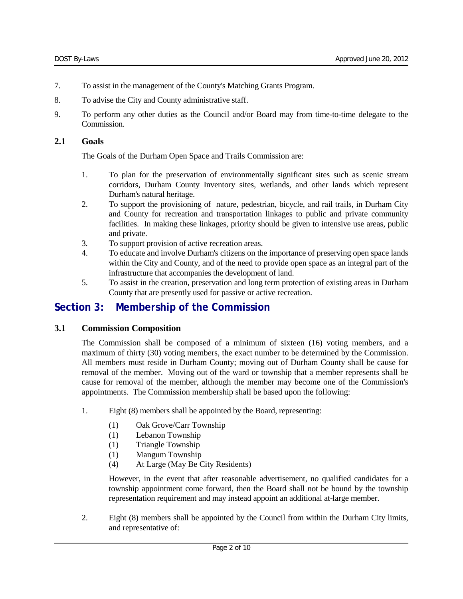- 7. To assist in the management of the County's Matching Grants Program.
- 8. To advise the City and County administrative staff.
- 9. To perform any other duties as the Council and/or Board may from time-to-time delegate to the Commission.

#### <span id="page-3-0"></span>**2.1 Goals**

The Goals of the Durham Open Space and Trails Commission are:

- 1. To plan for the preservation of environmentally significant sites such as scenic stream corridors, Durham County Inventory sites, wetlands, and other lands which represent Durham's natural heritage.
- 2. To support the provisioning of nature, pedestrian, bicycle, and rail trails, in Durham City and County for recreation and transportation linkages to public and private community facilities. In making these linkages, priority should be given to intensive use areas, public and private.
- 3. To support provision of active recreation areas.
- 4. To educate and involve Durham's citizens on the importance of preserving open space lands within the City and County, and of the need to provide open space as an integral part of the infrastructure that accompanies the development of land.
- 5. To assist in the creation, preservation and long term protection of existing areas in Durham County that are presently used for passive or active recreation.

# <span id="page-3-1"></span>**Section 3: Membership of the Commission**

#### <span id="page-3-2"></span>**3.1 Commission Composition**

The Commission shall be composed of a minimum of sixteen (16) voting members, and a maximum of thirty (30) voting members, the exact number to be determined by the Commission. All members must reside in Durham County; moving out of Durham County shall be cause for removal of the member. Moving out of the ward or township that a member represents shall be cause for removal of the member, although the member may become one of the Commission's appointments. The Commission membership shall be based upon the following:

- 1. Eight (8) members shall be appointed by the Board, representing:
	- (1) Oak Grove/Carr Township
	- (1) Lebanon Township
	- (1) Triangle Township
	- (1) Mangum Township
	- (4) At Large (May Be City Residents)

However, in the event that after reasonable advertisement, no qualified candidates for a township appointment come forward, then the Board shall not be bound by the township representation requirement and may instead appoint an additional at-large member.

2. Eight (8) members shall be appointed by the Council from within the Durham City limits, and representative of: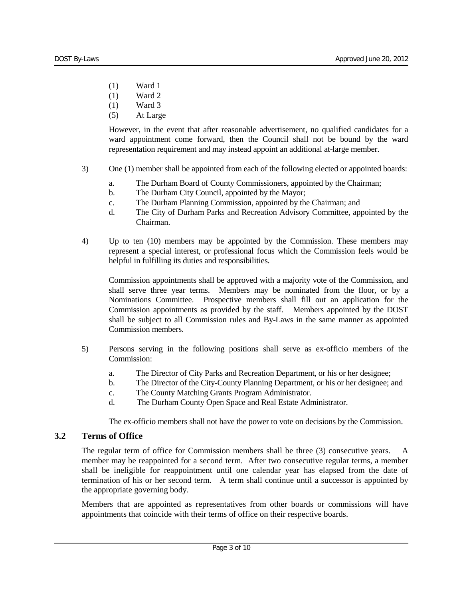- (1) Ward 1
- (1) Ward 2
- (1) Ward 3
- (5) At Large

However, in the event that after reasonable advertisement, no qualified candidates for a ward appointment come forward, then the Council shall not be bound by the ward representation requirement and may instead appoint an additional at-large member.

- 3) One (1) member shall be appointed from each of the following elected or appointed boards:
	- a. The Durham Board of County Commissioners, appointed by the Chairman;
	- b. The Durham City Council, appointed by the Mayor;
	- c. The Durham Planning Commission, appointed by the Chairman; and
	- d. The City of Durham Parks and Recreation Advisory Committee, appointed by the Chairman.
- 4) Up to ten (10) members may be appointed by the Commission. These members may represent a special interest, or professional focus which the Commission feels would be helpful in fulfilling its duties and responsibilities.

Commission appointments shall be approved with a majority vote of the Commission, and shall serve three year terms. Members may be nominated from the floor, or by a Nominations Committee. Prospective members shall fill out an application for the Commission appointments as provided by the staff. Members appointed by the DOST shall be subject to all Commission rules and By-Laws in the same manner as appointed Commission members.

- 5) Persons serving in the following positions shall serve as ex-officio members of the Commission:
	- a. The Director of City Parks and Recreation Department, or his or her designee;
	- b. The Director of the City-County Planning Department, or his or her designee; and
	- c. The County Matching Grants Program Administrator.
	- d. The Durham County Open Space and Real Estate Administrator.

The ex-officio members shall not have the power to vote on decisions by the Commission.

#### <span id="page-4-0"></span>**3.2 Terms of Office**

The regular term of office for Commission members shall be three (3) consecutive years. A member may be reappointed for a second term. After two consecutive regular terms, a member shall be ineligible for reappointment until one calendar year has elapsed from the date of termination of his or her second term. A term shall continue until a successor is appointed by the appropriate governing body.

Members that are appointed as representatives from other boards or commissions will have appointments that coincide with their terms of office on their respective boards.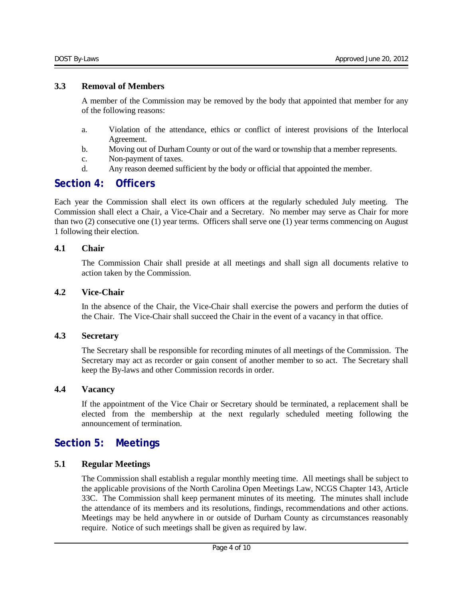#### <span id="page-5-0"></span>**3.3 Removal of Members**

A member of the Commission may be removed by the body that appointed that member for any of the following reasons:

- a. Violation of the attendance, ethics or conflict of interest provisions of the Interlocal Agreement.
- b. Moving out of Durham County or out of the ward or township that a member represents.
- c. Non-payment of taxes.
- d. Any reason deemed sufficient by the body or official that appointed the member.

# <span id="page-5-1"></span>**Section 4: Officers**

Each year the Commission shall elect its own officers at the regularly scheduled July meeting. The Commission shall elect a Chair, a Vice-Chair and a Secretary. No member may serve as Chair for more than two (2) consecutive one (1) year terms. Officers shall serve one (1) year terms commencing on August 1 following their election.

### <span id="page-5-2"></span>**4.1 Chair**

The Commission Chair shall preside at all meetings and shall sign all documents relative to action taken by the Commission.

## <span id="page-5-3"></span>**4.2 Vice-Chair**

In the absence of the Chair, the Vice-Chair shall exercise the powers and perform the duties of the Chair. The Vice-Chair shall succeed the Chair in the event of a vacancy in that office.

#### <span id="page-5-4"></span>**4.3 Secretary**

The Secretary shall be responsible for recording minutes of all meetings of the Commission. The Secretary may act as recorder or gain consent of another member to so act. The Secretary shall keep the By-laws and other Commission records in order.

## <span id="page-5-5"></span>**4.4 Vacancy**

If the appointment of the Vice Chair or Secretary should be terminated, a replacement shall be elected from the membership at the next regularly scheduled meeting following the announcement of termination.

# <span id="page-5-6"></span>**Section 5: Meetings**

## <span id="page-5-7"></span>**5.1 Regular Meetings**

The Commission shall establish a regular monthly meeting time. All meetings shall be subject to the applicable provisions of the North Carolina Open Meetings Law, NCGS Chapter 143, Article 33C. The Commission shall keep permanent minutes of its meeting. The minutes shall include the attendance of its members and its resolutions, findings, recommendations and other actions. Meetings may be held anywhere in or outside of Durham County as circumstances reasonably require. Notice of such meetings shall be given as required by law.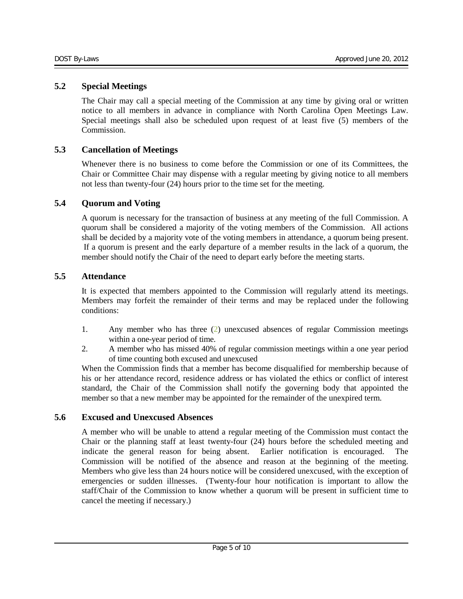### <span id="page-6-0"></span>**5.2 Special Meetings**

The Chair may call a special meeting of the Commission at any time by giving oral or written notice to all members in advance in compliance with North Carolina Open Meetings Law. Special meetings shall also be scheduled upon request of at least five (5) members of the Commission.

## <span id="page-6-1"></span>**5.3 Cancellation of Meetings**

Whenever there is no business to come before the Commission or one of its Committees, the Chair or Committee Chair may dispense with a regular meeting by giving notice to all members not less than twenty-four (24) hours prior to the time set for the meeting.

### <span id="page-6-2"></span>**5.4 Quorum and Voting**

A quorum is necessary for the transaction of business at any meeting of the full Commission. A quorum shall be considered a majority of the voting members of the Commission. All actions shall be decided by a majority vote of the voting members in attendance, a quorum being present. If a quorum is present and the early departure of a member results in the lack of a quorum, the member should notify the Chair of the need to depart early before the meeting starts.

### <span id="page-6-3"></span>**5.5 Attendance**

It is expected that members appointed to the Commission will regularly attend its meetings. Members may forfeit the remainder of their terms and may be replaced under the following conditions:

- 1. Any member who has three (2) unexcused absences of regular Commission meetings within a one-year period of time.
- 2. A member who has missed 40% of regular commission meetings within a one year period of time counting both excused and unexcused

When the Commission finds that a member has become disqualified for membership because of his or her attendance record, residence address or has violated the ethics or conflict of interest standard, the Chair of the Commission shall notify the governing body that appointed the member so that a new member may be appointed for the remainder of the unexpired term.

### <span id="page-6-4"></span>**5.6 Excused and Unexcused Absences**

A member who will be unable to attend a regular meeting of the Commission must contact the Chair or the planning staff at least twenty-four (24) hours before the scheduled meeting and indicate the general reason for being absent. Earlier notification is encouraged. The Commission will be notified of the absence and reason at the beginning of the meeting. Members who give less than 24 hours notice will be considered unexcused, with the exception of emergencies or sudden illnesses. (Twenty-four hour notification is important to allow the staff/Chair of the Commission to know whether a quorum will be present in sufficient time to cancel the meeting if necessary.)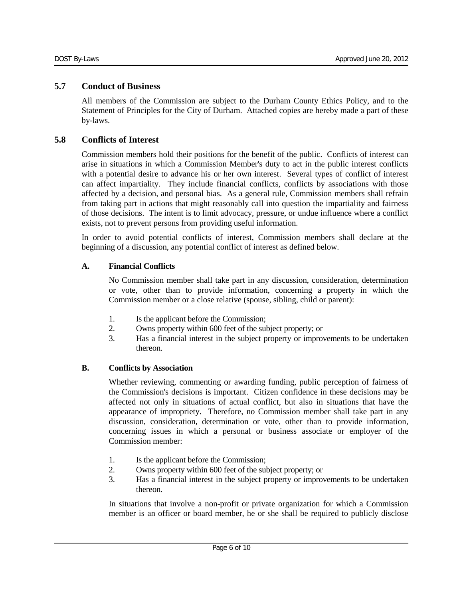#### <span id="page-7-0"></span>**5.7 Conduct of Business**

All members of the Commission are subject to the Durham County Ethics Policy, and to the Statement of Principles for the City of Durham. Attached copies are hereby made a part of these by-laws.

## <span id="page-7-1"></span>**5.8 Conflicts of Interest**

Commission members hold their positions for the benefit of the public. Conflicts of interest can arise in situations in which a Commission Member's duty to act in the public interest conflicts with a potential desire to advance his or her own interest. Several types of conflict of interest can affect impartiality. They include financial conflicts, conflicts by associations with those affected by a decision, and personal bias. As a general rule, Commission members shall refrain from taking part in actions that might reasonably call into question the impartiality and fairness of those decisions. The intent is to limit advocacy, pressure, or undue influence where a conflict exists, not to prevent persons from providing useful information.

In order to avoid potential conflicts of interest, Commission members shall declare at the beginning of a discussion, any potential conflict of interest as defined below.

### **A. Financial Conflicts**

No Commission member shall take part in any discussion, consideration, determination or vote, other than to provide information, concerning a property in which the Commission member or a close relative (spouse, sibling, child or parent):

- 1. Is the applicant before the Commission;
- 2. Owns property within 600 feet of the subject property; or
- 3. Has a financial interest in the subject property or improvements to be undertaken thereon.

#### **B. Conflicts by Association**

Whether reviewing, commenting or awarding funding, public perception of fairness of the Commission's decisions is important. Citizen confidence in these decisions may be affected not only in situations of actual conflict, but also in situations that have the appearance of impropriety. Therefore, no Commission member shall take part in any discussion, consideration, determination or vote, other than to provide information, concerning issues in which a personal or business associate or employer of the Commission member:

- 1. Is the applicant before the Commission;
- 2. Owns property within 600 feet of the subject property; or
- 3. Has a financial interest in the subject property or improvements to be undertaken thereon.

In situations that involve a non-profit or private organization for which a Commission member is an officer or board member, he or she shall be required to publicly disclose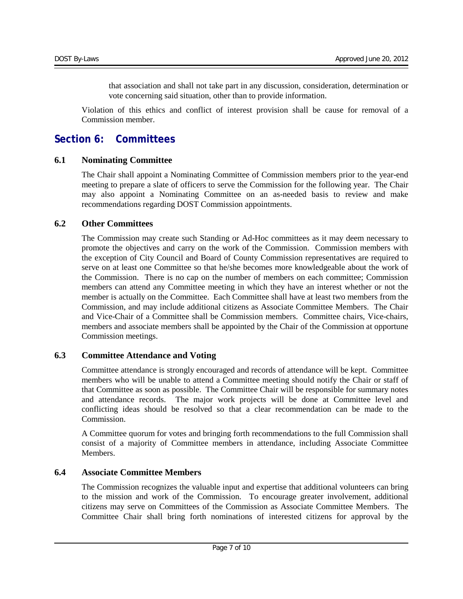that association and shall not take part in any discussion, consideration, determination or vote concerning said situation, other than to provide information.

Violation of this ethics and conflict of interest provision shall be cause for removal of a Commission member.

# <span id="page-8-0"></span>**Section 6: Committees**

#### <span id="page-8-1"></span>**6.1 Nominating Committee**

The Chair shall appoint a Nominating Committee of Commission members prior to the year-end meeting to prepare a slate of officers to serve the Commission for the following year. The Chair may also appoint a Nominating Committee on an as-needed basis to review and make recommendations regarding DOST Commission appointments.

### <span id="page-8-2"></span>**6.2 Other Committees**

The Commission may create such Standing or Ad-Hoc committees as it may deem necessary to promote the objectives and carry on the work of the Commission. Commission members with the exception of City Council and Board of County Commission representatives are required to serve on at least one Committee so that he/she becomes more knowledgeable about the work of the Commission. There is no cap on the number of members on each committee; Commission members can attend any Committee meeting in which they have an interest whether or not the member is actually on the Committee. Each Committee shall have at least two members from the Commission, and may include additional citizens as Associate Committee Members. The Chair and Vice-Chair of a Committee shall be Commission members. Committee chairs, Vice-chairs, members and associate members shall be appointed by the Chair of the Commission at opportune Commission meetings.

## <span id="page-8-3"></span>**6.3 Committee Attendance and Voting**

Committee attendance is strongly encouraged and records of attendance will be kept. Committee members who will be unable to attend a Committee meeting should notify the Chair or staff of that Committee as soon as possible. The Committee Chair will be responsible for summary notes and attendance records. The major work projects will be done at Committee level and conflicting ideas should be resolved so that a clear recommendation can be made to the Commission.

A Committee quorum for votes and bringing forth recommendations to the full Commission shall consist of a majority of Committee members in attendance, including Associate Committee Members.

## <span id="page-8-4"></span>**6.4 Associate Committee Members**

The Commission recognizes the valuable input and expertise that additional volunteers can bring to the mission and work of the Commission. To encourage greater involvement, additional citizens may serve on Committees of the Commission as Associate Committee Members. The Committee Chair shall bring forth nominations of interested citizens for approval by the